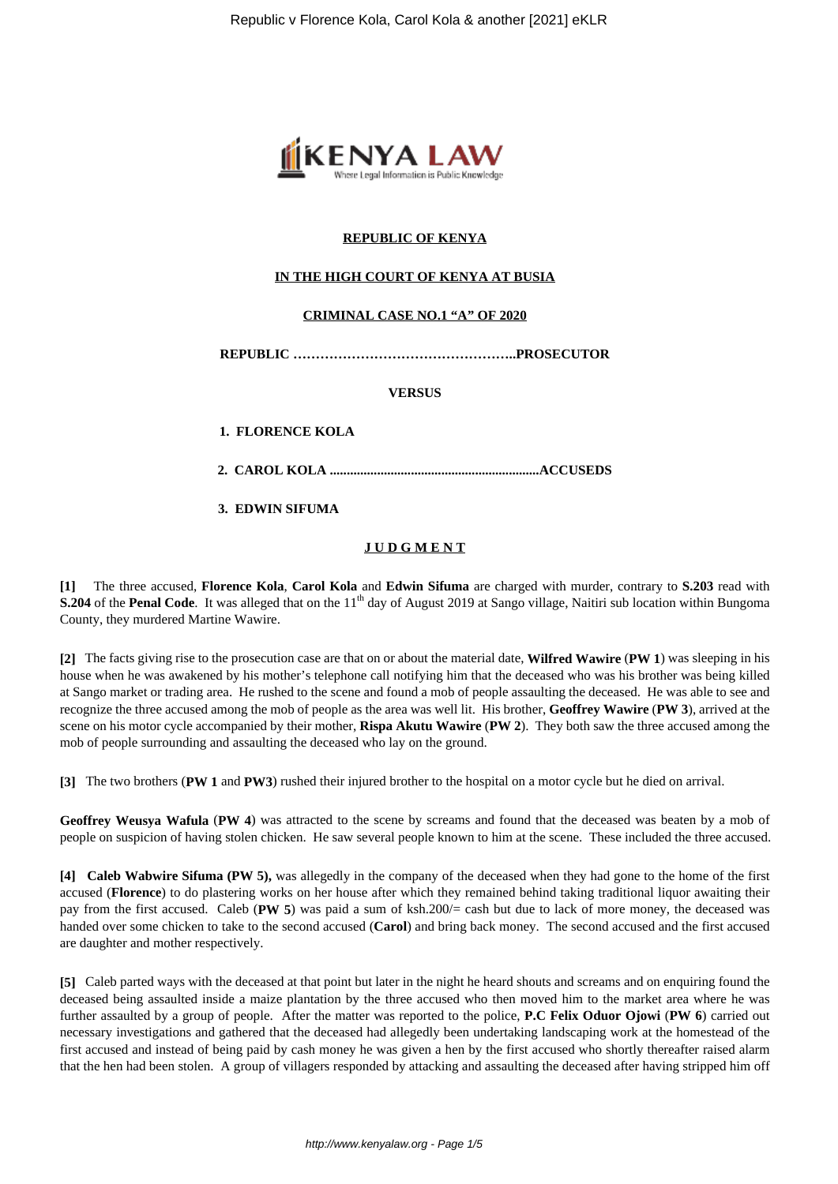

## **REPUBLIC OF KENYA**

### **IN THE HIGH COURT OF KENYA AT BUSIA**

#### **CRIMINAL CASE NO.1 "A" OF 2020**

**REPUBLIC …………………………………………..PROSECUTOR**

**VERSUS**

**1. FLORENCE KOLA**

**2. CAROL KOLA ..............................................................ACCUSEDS**

**3. EDWIN SIFUMA**

#### **J U D G M E N T**

**[1]** The three accused, **Florence Kola**, **Carol Kola** and **Edwin Sifuma** are charged with murder, contrary to **S.203** read with **S.204** of the **Penal Code**. It was alleged that on the 11<sup>th</sup> day of August 2019 at Sango village, Naitiri sub location within Bungoma County, they murdered Martine Wawire.

**[2]** The facts giving rise to the prosecution case are that on or about the material date, **Wilfred Wawire** (**PW 1**) was sleeping in his house when he was awakened by his mother's telephone call notifying him that the deceased who was his brother was being killed at Sango market or trading area. He rushed to the scene and found a mob of people assaulting the deceased. He was able to see and recognize the three accused among the mob of people as the area was well lit. His brother, **Geoffrey Wawire** (**PW 3**), arrived at the scene on his motor cycle accompanied by their mother, **Rispa Akutu Wawire** (**PW 2**). They both saw the three accused among the mob of people surrounding and assaulting the deceased who lay on the ground.

**[3]** The two brothers (**PW 1** and **PW3**) rushed their injured brother to the hospital on a motor cycle but he died on arrival.

**Geoffrey Weusya Wafula** (**PW 4**) was attracted to the scene by screams and found that the deceased was beaten by a mob of people on suspicion of having stolen chicken. He saw several people known to him at the scene. These included the three accused.

**[4] Caleb Wabwire Sifuma (PW 5),** was allegedly in the company of the deceased when they had gone to the home of the first accused (**Florence**) to do plastering works on her house after which they remained behind taking traditional liquor awaiting their pay from the first accused. Caleb (**PW 5**) was paid a sum of ksh.200/= cash but due to lack of more money, the deceased was handed over some chicken to take to the second accused (**Carol**) and bring back money. The second accused and the first accused are daughter and mother respectively.

**[5]** Caleb parted ways with the deceased at that point but later in the night he heard shouts and screams and on enquiring found the deceased being assaulted inside a maize plantation by the three accused who then moved him to the market area where he was further assaulted by a group of people. After the matter was reported to the police, **P.C Felix Oduor Ojowi** (**PW 6**) carried out necessary investigations and gathered that the deceased had allegedly been undertaking landscaping work at the homestead of the first accused and instead of being paid by cash money he was given a hen by the first accused who shortly thereafter raised alarm that the hen had been stolen. A group of villagers responded by attacking and assaulting the deceased after having stripped him off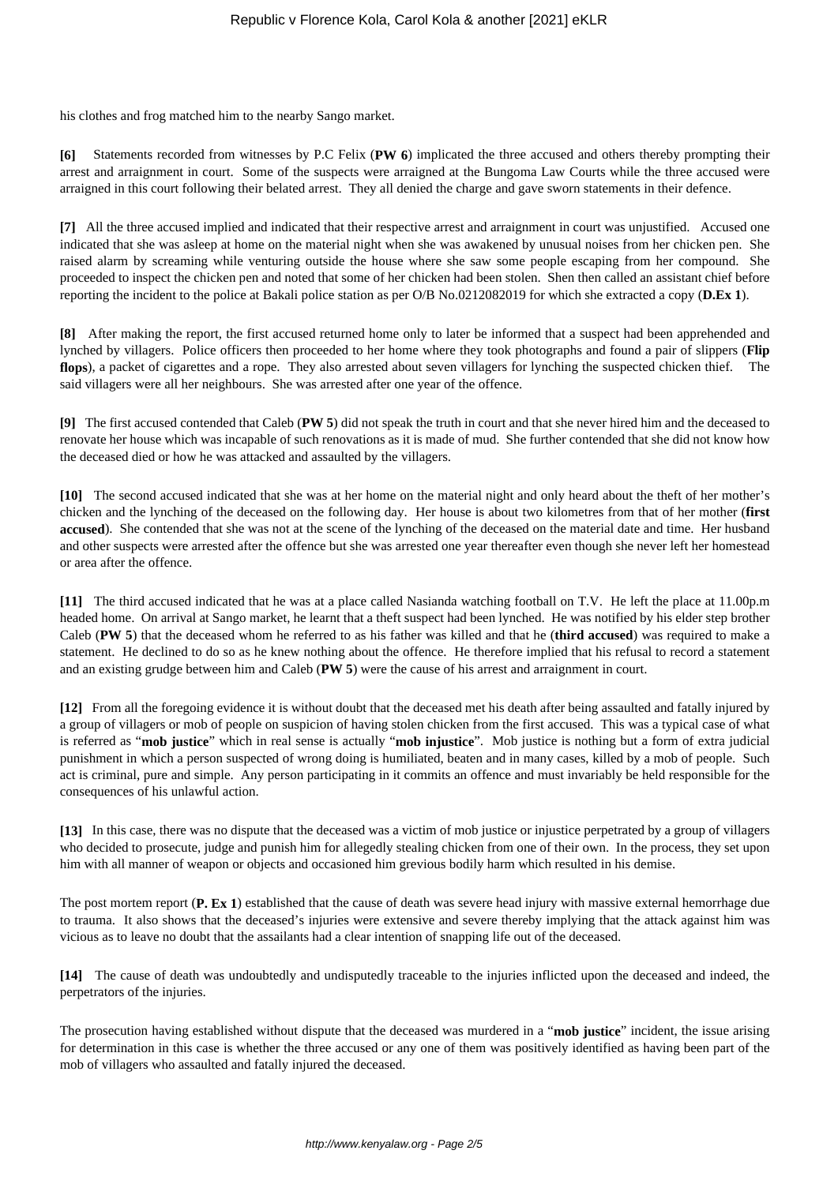his clothes and frog matched him to the nearby Sango market.

**[6]** Statements recorded from witnesses by P.C Felix (**PW 6**) implicated the three accused and others thereby prompting their arrest and arraignment in court. Some of the suspects were arraigned at the Bungoma Law Courts while the three accused were arraigned in this court following their belated arrest. They all denied the charge and gave sworn statements in their defence.

**[7]** All the three accused implied and indicated that their respective arrest and arraignment in court was unjustified. Accused one indicated that she was asleep at home on the material night when she was awakened by unusual noises from her chicken pen. She raised alarm by screaming while venturing outside the house where she saw some people escaping from her compound. She proceeded to inspect the chicken pen and noted that some of her chicken had been stolen. Shen then called an assistant chief before reporting the incident to the police at Bakali police station as per O/B No.0212082019 for which she extracted a copy (**D.Ex 1**).

**[8]** After making the report, the first accused returned home only to later be informed that a suspect had been apprehended and lynched by villagers. Police officers then proceeded to her home where they took photographs and found a pair of slippers (**Flip flops**), a packet of cigarettes and a rope. They also arrested about seven villagers for lynching the suspected chicken thief. The said villagers were all her neighbours. She was arrested after one year of the offence.

**[9]** The first accused contended that Caleb (**PW 5**) did not speak the truth in court and that she never hired him and the deceased to renovate her house which was incapable of such renovations as it is made of mud. She further contended that she did not know how the deceased died or how he was attacked and assaulted by the villagers.

**[10]** The second accused indicated that she was at her home on the material night and only heard about the theft of her mother's chicken and the lynching of the deceased on the following day. Her house is about two kilometres from that of her mother (**first accused**). She contended that she was not at the scene of the lynching of the deceased on the material date and time. Her husband and other suspects were arrested after the offence but she was arrested one year thereafter even though she never left her homestead or area after the offence.

**[11]** The third accused indicated that he was at a place called Nasianda watching football on T.V. He left the place at 11.00p.m headed home. On arrival at Sango market, he learnt that a theft suspect had been lynched. He was notified by his elder step brother Caleb (**PW 5**) that the deceased whom he referred to as his father was killed and that he (**third accused**) was required to make a statement. He declined to do so as he knew nothing about the offence. He therefore implied that his refusal to record a statement and an existing grudge between him and Caleb (**PW 5**) were the cause of his arrest and arraignment in court.

**[12]** From all the foregoing evidence it is without doubt that the deceased met his death after being assaulted and fatally injured by a group of villagers or mob of people on suspicion of having stolen chicken from the first accused. This was a typical case of what is referred as "**mob justice**" which in real sense is actually "**mob injustice**". Mob justice is nothing but a form of extra judicial punishment in which a person suspected of wrong doing is humiliated, beaten and in many cases, killed by a mob of people. Such act is criminal, pure and simple. Any person participating in it commits an offence and must invariably be held responsible for the consequences of his unlawful action.

**[13]** In this case, there was no dispute that the deceased was a victim of mob justice or injustice perpetrated by a group of villagers who decided to prosecute, judge and punish him for allegedly stealing chicken from one of their own. In the process, they set upon him with all manner of weapon or objects and occasioned him grevious bodily harm which resulted in his demise.

The post mortem report (**P. Ex 1**) established that the cause of death was severe head injury with massive external hemorrhage due to trauma. It also shows that the deceased's injuries were extensive and severe thereby implying that the attack against him was vicious as to leave no doubt that the assailants had a clear intention of snapping life out of the deceased.

**[14]** The cause of death was undoubtedly and undisputedly traceable to the injuries inflicted upon the deceased and indeed, the perpetrators of the injuries.

The prosecution having established without dispute that the deceased was murdered in a "**mob justice**" incident, the issue arising for determination in this case is whether the three accused or any one of them was positively identified as having been part of the mob of villagers who assaulted and fatally injured the deceased.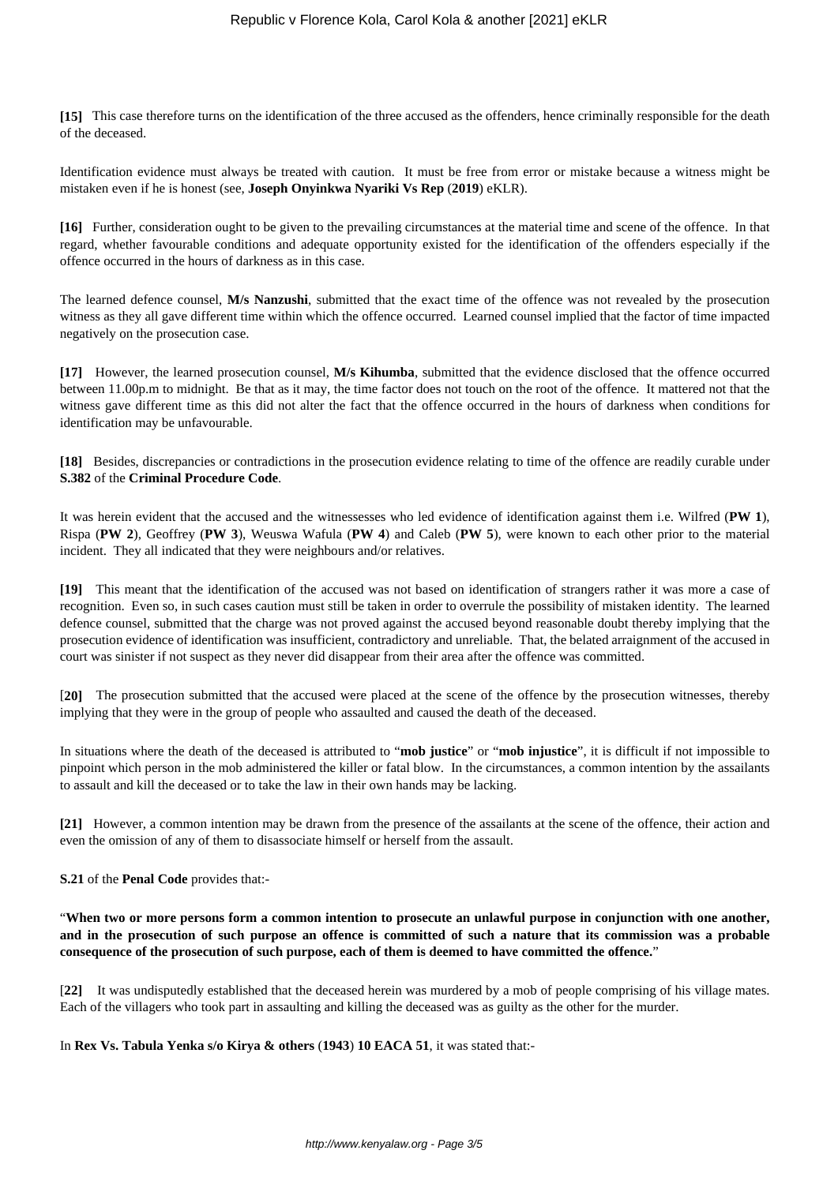**[15]** This case therefore turns on the identification of the three accused as the offenders, hence criminally responsible for the death of the deceased.

Identification evidence must always be treated with caution. It must be free from error or mistake because a witness might be mistaken even if he is honest (see, **Joseph Onyinkwa Nyariki Vs Rep** (**2019**) eKLR).

**[16]** Further, consideration ought to be given to the prevailing circumstances at the material time and scene of the offence. In that regard, whether favourable conditions and adequate opportunity existed for the identification of the offenders especially if the offence occurred in the hours of darkness as in this case.

The learned defence counsel, **M/s Nanzushi**, submitted that the exact time of the offence was not revealed by the prosecution witness as they all gave different time within which the offence occurred. Learned counsel implied that the factor of time impacted negatively on the prosecution case.

**[17]** However, the learned prosecution counsel, **M/s Kihumba**, submitted that the evidence disclosed that the offence occurred between 11.00p.m to midnight. Be that as it may, the time factor does not touch on the root of the offence. It mattered not that the witness gave different time as this did not alter the fact that the offence occurred in the hours of darkness when conditions for identification may be unfavourable.

**[18]** Besides, discrepancies or contradictions in the prosecution evidence relating to time of the offence are readily curable under **S.382** of the **Criminal Procedure Code**.

It was herein evident that the accused and the witnessesses who led evidence of identification against them i.e. Wilfred (**PW 1**), Rispa (**PW 2**), Geoffrey (**PW 3**), Weuswa Wafula (**PW 4**) and Caleb (**PW 5**), were known to each other prior to the material incident. They all indicated that they were neighbours and/or relatives.

**[19]** This meant that the identification of the accused was not based on identification of strangers rather it was more a case of recognition. Even so, in such cases caution must still be taken in order to overrule the possibility of mistaken identity. The learned defence counsel, submitted that the charge was not proved against the accused beyond reasonable doubt thereby implying that the prosecution evidence of identification was insufficient, contradictory and unreliable. That, the belated arraignment of the accused in court was sinister if not suspect as they never did disappear from their area after the offence was committed.

[**20]** The prosecution submitted that the accused were placed at the scene of the offence by the prosecution witnesses, thereby implying that they were in the group of people who assaulted and caused the death of the deceased.

In situations where the death of the deceased is attributed to "**mob justice**" or "**mob injustice**", it is difficult if not impossible to pinpoint which person in the mob administered the killer or fatal blow. In the circumstances, a common intention by the assailants to assault and kill the deceased or to take the law in their own hands may be lacking.

**[21]** However, a common intention may be drawn from the presence of the assailants at the scene of the offence, their action and even the omission of any of them to disassociate himself or herself from the assault.

**S.21** of the **Penal Code** provides that:-

"**When two or more persons form a common intention to prosecute an unlawful purpose in conjunction with one another, and in the prosecution of such purpose an offence is committed of such a nature that its commission was a probable consequence of the prosecution of such purpose, each of them is deemed to have committed the offence.**"

[**22]** It was undisputedly established that the deceased herein was murdered by a mob of people comprising of his village mates. Each of the villagers who took part in assaulting and killing the deceased was as guilty as the other for the murder.

In **Rex Vs. Tabula Yenka s/o Kirya & others** (**1943**) **10 EACA 51**, it was stated that:-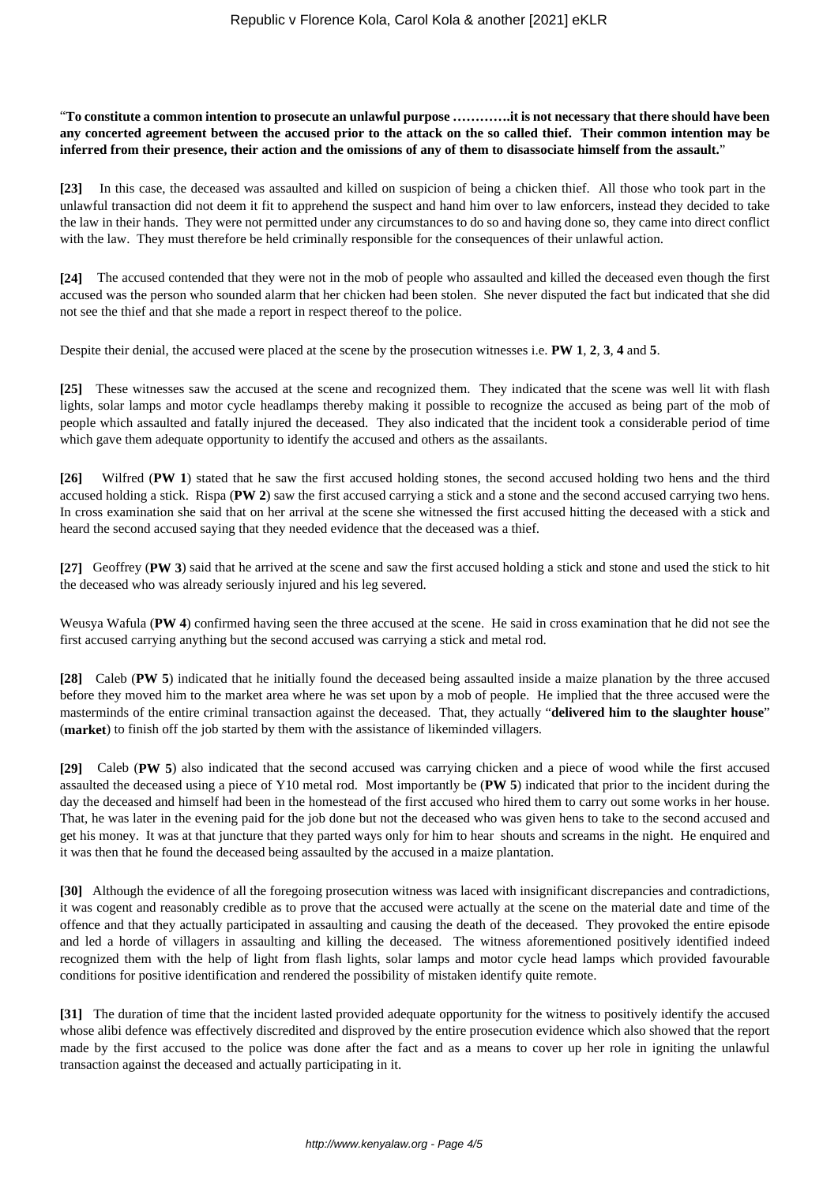"**To constitute a common intention to prosecute an unlawful purpose ………….it is not necessary that there should have been any concerted agreement between the accused prior to the attack on the so called thief. Their common intention may be inferred from their presence, their action and the omissions of any of them to disassociate himself from the assault.**"

**[23]** In this case, the deceased was assaulted and killed on suspicion of being a chicken thief. All those who took part in the unlawful transaction did not deem it fit to apprehend the suspect and hand him over to law enforcers, instead they decided to take the law in their hands. They were not permitted under any circumstances to do so and having done so, they came into direct conflict with the law. They must therefore be held criminally responsible for the consequences of their unlawful action.

**[24]** The accused contended that they were not in the mob of people who assaulted and killed the deceased even though the first accused was the person who sounded alarm that her chicken had been stolen. She never disputed the fact but indicated that she did not see the thief and that she made a report in respect thereof to the police.

Despite their denial, the accused were placed at the scene by the prosecution witnesses i.e. **PW 1**, **2**, **3**, **4** and **5**.

**[25]** These witnesses saw the accused at the scene and recognized them. They indicated that the scene was well lit with flash lights, solar lamps and motor cycle headlamps thereby making it possible to recognize the accused as being part of the mob of people which assaulted and fatally injured the deceased. They also indicated that the incident took a considerable period of time which gave them adequate opportunity to identify the accused and others as the assailants.

**[26]** Wilfred (**PW 1**) stated that he saw the first accused holding stones, the second accused holding two hens and the third accused holding a stick. Rispa (**PW 2**) saw the first accused carrying a stick and a stone and the second accused carrying two hens. In cross examination she said that on her arrival at the scene she witnessed the first accused hitting the deceased with a stick and heard the second accused saying that they needed evidence that the deceased was a thief.

**[27]** Geoffrey (**PW 3**) said that he arrived at the scene and saw the first accused holding a stick and stone and used the stick to hit the deceased who was already seriously injured and his leg severed.

Weusya Wafula (**PW 4**) confirmed having seen the three accused at the scene. He said in cross examination that he did not see the first accused carrying anything but the second accused was carrying a stick and metal rod.

**[28]** Caleb (**PW 5**) indicated that he initially found the deceased being assaulted inside a maize planation by the three accused before they moved him to the market area where he was set upon by a mob of people. He implied that the three accused were the masterminds of the entire criminal transaction against the deceased. That, they actually "**delivered him to the slaughter house**" (**market**) to finish off the job started by them with the assistance of likeminded villagers.

**[29]** Caleb (**PW 5**) also indicated that the second accused was carrying chicken and a piece of wood while the first accused assaulted the deceased using a piece of Y10 metal rod. Most importantly be (**PW 5**) indicated that prior to the incident during the day the deceased and himself had been in the homestead of the first accused who hired them to carry out some works in her house. That, he was later in the evening paid for the job done but not the deceased who was given hens to take to the second accused and get his money. It was at that juncture that they parted ways only for him to hear shouts and screams in the night. He enquired and it was then that he found the deceased being assaulted by the accused in a maize plantation.

**[30]** Although the evidence of all the foregoing prosecution witness was laced with insignificant discrepancies and contradictions, it was cogent and reasonably credible as to prove that the accused were actually at the scene on the material date and time of the offence and that they actually participated in assaulting and causing the death of the deceased. They provoked the entire episode and led a horde of villagers in assaulting and killing the deceased. The witness aforementioned positively identified indeed recognized them with the help of light from flash lights, solar lamps and motor cycle head lamps which provided favourable conditions for positive identification and rendered the possibility of mistaken identify quite remote.

**[31]** The duration of time that the incident lasted provided adequate opportunity for the witness to positively identify the accused whose alibi defence was effectively discredited and disproved by the entire prosecution evidence which also showed that the report made by the first accused to the police was done after the fact and as a means to cover up her role in igniting the unlawful transaction against the deceased and actually participating in it.